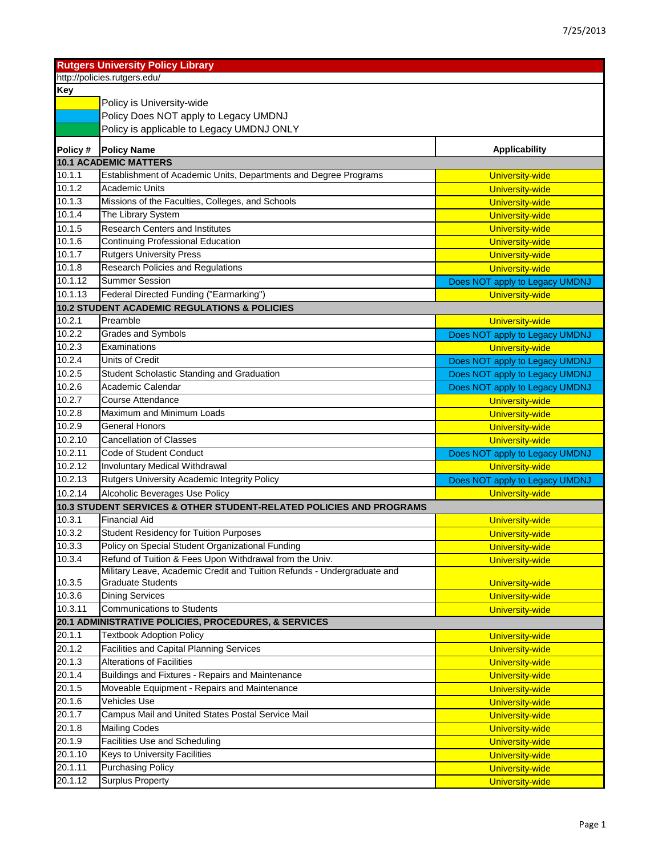| <b>Rutgers University Policy Library</b> |                                                                                                  |                                                  |  |
|------------------------------------------|--------------------------------------------------------------------------------------------------|--------------------------------------------------|--|
|                                          | http://policies.rutgers.edu/                                                                     |                                                  |  |
| Key                                      |                                                                                                  |                                                  |  |
|                                          | Policy is University-wide                                                                        |                                                  |  |
|                                          | Policy Does NOT apply to Legacy UMDNJ                                                            |                                                  |  |
|                                          | Policy is applicable to Legacy UMDNJ ONLY                                                        |                                                  |  |
| Policy #                                 | <b>Policy Name</b>                                                                               | <b>Applicability</b>                             |  |
|                                          | <b>10.1 ACADEMIC MATTERS</b>                                                                     |                                                  |  |
| 10.1.1                                   | Establishment of Academic Units, Departments and Degree Programs                                 | <b>University-wide</b>                           |  |
| 10.1.2                                   | <b>Academic Units</b>                                                                            | <b>University-wide</b>                           |  |
| 10.1.3                                   | Missions of the Faculties, Colleges, and Schools                                                 | <b>University-wide</b>                           |  |
| 10.1.4                                   | The Library System                                                                               | <b>University-wide</b>                           |  |
| 10.1.5                                   | <b>Research Centers and Institutes</b>                                                           | <b>University-wide</b>                           |  |
| 10.1.6                                   | Continuing Professional Education                                                                | <b>University-wide</b>                           |  |
| 10.1.7                                   | <b>Rutgers University Press</b>                                                                  | <b>University-wide</b>                           |  |
| 10.1.8                                   | Research Policies and Regulations                                                                | <b>University-wide</b>                           |  |
| 10.1.12                                  | <b>Summer Session</b>                                                                            | Does NOT apply to Legacy UMDNJ                   |  |
| 10.1.13                                  | Federal Directed Funding ("Earmarking")                                                          | <b>University-wide</b>                           |  |
|                                          | <b>10.2 STUDENT ACADEMIC REGULATIONS &amp; POLICIES</b>                                          |                                                  |  |
| 10.2.1                                   | Preamble                                                                                         | <b>University-wide</b>                           |  |
| 10.2.2                                   | <b>Grades and Symbols</b>                                                                        | Does NOT apply to Legacy UMDNJ                   |  |
| 10.2.3                                   | Examinations                                                                                     | <b>University-wide</b>                           |  |
| 10.2.4                                   | Units of Credit                                                                                  | Does NOT apply to Legacy UMDNJ                   |  |
| 10.2.5                                   | Student Scholastic Standing and Graduation                                                       | Does NOT apply to Legacy UMDNJ                   |  |
| 10.2.6                                   | Academic Calendar                                                                                | Does NOT apply to Legacy UMDNJ                   |  |
| 10.2.7                                   | <b>Course Attendance</b>                                                                         | <b>University-wide</b>                           |  |
| 10.2.8                                   | Maximum and Minimum Loads                                                                        | <b>University-wide</b>                           |  |
| 10.2.9                                   | <b>General Honors</b>                                                                            | <b>University-wide</b>                           |  |
| 10.2.10                                  | <b>Cancellation of Classes</b>                                                                   | <b>University-wide</b>                           |  |
| 10.2.11                                  | Code of Student Conduct                                                                          | Does NOT apply to Legacy UMDNJ                   |  |
| 10.2.12                                  | Involuntary Medical Withdrawal                                                                   | <b>University-wide</b>                           |  |
| 10.2.13                                  | Rutgers University Academic Integrity Policy                                                     | Does NOT apply to Legacy UMDNJ                   |  |
| 10.2.14                                  | Alcoholic Beverages Use Policy                                                                   | <b>University-wide</b>                           |  |
|                                          | 10.3 STUDENT SERVICES & OTHER STUDENT-RELATED POLICIES AND PROGRAMS                              |                                                  |  |
| 10.3.1                                   | <b>Financial Aid</b>                                                                             | <b>University-wide</b>                           |  |
| 10.3.2                                   | <b>Student Residency for Tuition Purposes</b>                                                    | <b>University-wide</b>                           |  |
| 10.3.3                                   | Policy on Special Student Organizational Funding                                                 | <b>University-wide</b>                           |  |
| 10.3.4                                   | Refund of Tuition & Fees Upon Withdrawal from the Univ.                                          | <b>University-wide</b>                           |  |
|                                          | Military Leave, Academic Credit and Tuition Refunds - Undergraduate and                          |                                                  |  |
| 10.3.5                                   | <b>Graduate Students</b>                                                                         | <b>University-wide</b>                           |  |
| 10.3.6                                   | <b>Dining Services</b>                                                                           | <b>University-wide</b>                           |  |
| 10.3.11                                  | <b>Communications to Students</b>                                                                | <b>University-wide</b>                           |  |
| 20.1.1                                   | 20.1 ADMINISTRATIVE POLICIES, PROCEDURES, & SERVICES                                             |                                                  |  |
|                                          | <b>Textbook Adoption Policy</b>                                                                  | <b>University-wide</b>                           |  |
| 20.1.2<br>20.1.3                         | <b>Facilities and Capital Planning Services</b>                                                  | <b>University-wide</b>                           |  |
| 20.1.4                                   | <b>Alterations of Facilities</b>                                                                 | <b>University-wide</b>                           |  |
|                                          | Buildings and Fixtures - Repairs and Maintenance<br>Moveable Equipment - Repairs and Maintenance | <b>University-wide</b>                           |  |
| 20.1.5                                   | <b>Vehicles Use</b>                                                                              | University-wide                                  |  |
| 20.1.6<br>20.1.7                         | Campus Mail and United States Postal Service Mail                                                | <b>University-wide</b>                           |  |
| 20.1.8                                   | <b>Mailing Codes</b>                                                                             | <b>University-wide</b>                           |  |
| 20.1.9                                   | <b>Facilities Use and Scheduling</b>                                                             | <b>University-wide</b>                           |  |
| 20.1.10                                  | Keys to University Facilities                                                                    | <b>University-wide</b>                           |  |
| 20.1.11                                  | <b>Purchasing Policy</b>                                                                         | <b>University-wide</b>                           |  |
| 20.1.12                                  | <b>Surplus Property</b>                                                                          | <b>University-wide</b><br><b>University-wide</b> |  |
|                                          |                                                                                                  |                                                  |  |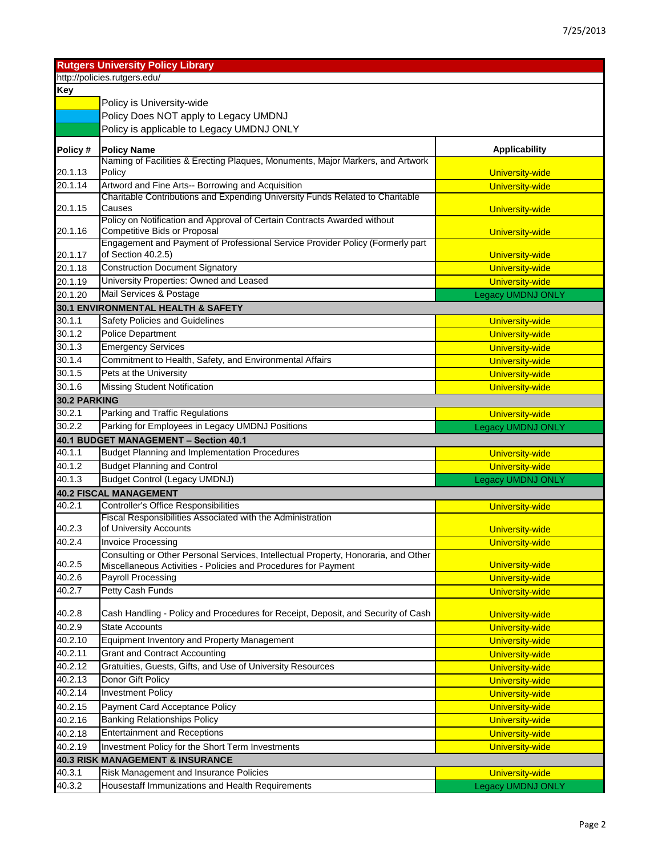|                  | <b>Rutgers University Policy Library</b>                                                                                           |                                                    |
|------------------|------------------------------------------------------------------------------------------------------------------------------------|----------------------------------------------------|
|                  | http://policies.rutgers.edu/                                                                                                       |                                                    |
| Key              |                                                                                                                                    |                                                    |
|                  | Policy is University-wide<br>Policy Does NOT apply to Legacy UMDNJ                                                                 |                                                    |
|                  | Policy is applicable to Legacy UMDNJ ONLY                                                                                          |                                                    |
|                  |                                                                                                                                    |                                                    |
| Policy #         | <b>Policy Name</b>                                                                                                                 | <b>Applicability</b>                               |
|                  | Naming of Facilities & Erecting Plaques, Monuments, Major Markers, and Artwork                                                     |                                                    |
| 20.1.13          | Policy                                                                                                                             | <b>University-wide</b>                             |
| 20.1.14          | Artword and Fine Arts-- Borrowing and Acquisition<br>Charitable Contributions and Expending University Funds Related to Charitable | <b>University-wide</b>                             |
| 20.1.15          | Causes                                                                                                                             | <b>University-wide</b>                             |
|                  | Policy on Notification and Approval of Certain Contracts Awarded without                                                           |                                                    |
| 20.1.16          | Competitive Bids or Proposal                                                                                                       | University-wide                                    |
|                  | Engagement and Payment of Professional Service Provider Policy (Formerly part                                                      |                                                    |
| 20.1.17          | of Section 40.2.5)                                                                                                                 | <b>University-wide</b>                             |
| 20.1.18          | <b>Construction Document Signatory</b>                                                                                             | <b>University-wide</b>                             |
| 20.1.19          | University Properties: Owned and Leased                                                                                            | <b>University-wide</b>                             |
| 20.1.20          | Mail Services & Postage                                                                                                            | <b>Legacy UMDNJ ONLY</b>                           |
|                  | 30.1 ENVIRONMENTAL HEALTH & SAFETY                                                                                                 |                                                    |
| 30.1.1           | Safety Policies and Guidelines                                                                                                     | <b>University-wide</b>                             |
| 30.1.2           | <b>Police Department</b>                                                                                                           | <b>University-wide</b>                             |
| 30.1.3           | <b>Emergency Services</b>                                                                                                          | <b>University-wide</b>                             |
| 30.1.4           | Commitment to Health, Safety, and Environmental Affairs                                                                            | <b>University-wide</b>                             |
| 30.1.5           | Pets at the University                                                                                                             | <b>University-wide</b>                             |
| 30.1.6           | <b>Missing Student Notification</b>                                                                                                | <b>University-wide</b>                             |
| 30.2 PARKING     |                                                                                                                                    |                                                    |
| 30.2.1<br>30.2.2 | Parking and Traffic Regulations                                                                                                    | <b>University-wide</b>                             |
|                  | Parking for Employees in Legacy UMDNJ Positions                                                                                    | <b>Legacy UMDNJ ONLY</b>                           |
| 40.1.1           | 40.1 BUDGET MANAGEMENT - Section 40.1<br><b>Budget Planning and Implementation Procedures</b>                                      | <b>University-wide</b>                             |
| 40.1.2           | <b>Budget Planning and Control</b>                                                                                                 |                                                    |
| 40.1.3           | <b>Budget Control (Legacy UMDNJ)</b>                                                                                               | <b>University-wide</b><br><b>Legacy UMDNJ ONLY</b> |
|                  | <b>40.2 FISCAL MANAGEMENT</b>                                                                                                      |                                                    |
| 40.2.1           | <b>Controller's Office Responsibilities</b>                                                                                        | <b>University-wide</b>                             |
|                  | Fiscal Responsibilities Associated with the Administration                                                                         |                                                    |
| 40.2.3           |                                                                                                                                    |                                                    |
|                  | of University Accounts                                                                                                             | <b>University-wide</b>                             |
| 40.2.4           | <b>Invoice Processing</b>                                                                                                          | <b>University-wide</b>                             |
|                  | Consulting or Other Personal Services, Intellectual Property, Honoraria, and Other                                                 |                                                    |
| 40.2.5           | Miscellaneous Activities - Policies and Procedures for Payment                                                                     | <b>University-wide</b>                             |
| 40.2.6           | <b>Payroll Processing</b>                                                                                                          | <b>University-wide</b>                             |
| 40.2.7           | Petty Cash Funds                                                                                                                   | <b>University-wide</b>                             |
|                  |                                                                                                                                    |                                                    |
| 40.2.8           | Cash Handling - Policy and Procedures for Receipt, Deposit, and Security of Cash                                                   | University-wide                                    |
| 40.2.9           | <b>State Accounts</b>                                                                                                              | <b>University-wide</b>                             |
| 40.2.10          | Equipment Inventory and Property Management                                                                                        | <b>University-wide</b>                             |
| 40.2.11          | <b>Grant and Contract Accounting</b>                                                                                               | <b>University-wide</b>                             |
| 40.2.12          | Gratuities, Guests, Gifts, and Use of University Resources                                                                         | <b>University-wide</b>                             |
| 40.2.13          | Donor Gift Policy                                                                                                                  | <b>University-wide</b>                             |
| 40.2.14          | <b>Investment Policy</b>                                                                                                           | <b>University-wide</b>                             |
| 40.2.15          | Payment Card Acceptance Policy<br><b>Banking Relationships Policy</b>                                                              | <b>University-wide</b>                             |
| 40.2.16          |                                                                                                                                    | <b>University-wide</b>                             |
| 40.2.18          | <b>Entertainment and Receptions</b>                                                                                                | <b>University-wide</b>                             |
| 40.2.19          | Investment Policy for the Short Term Investments<br><b>40.3 RISK MANAGEMENT &amp; INSURANCE</b>                                    | <b>University-wide</b>                             |
| 40.3.1           | Risk Management and Insurance Policies                                                                                             | <b>University-wide</b>                             |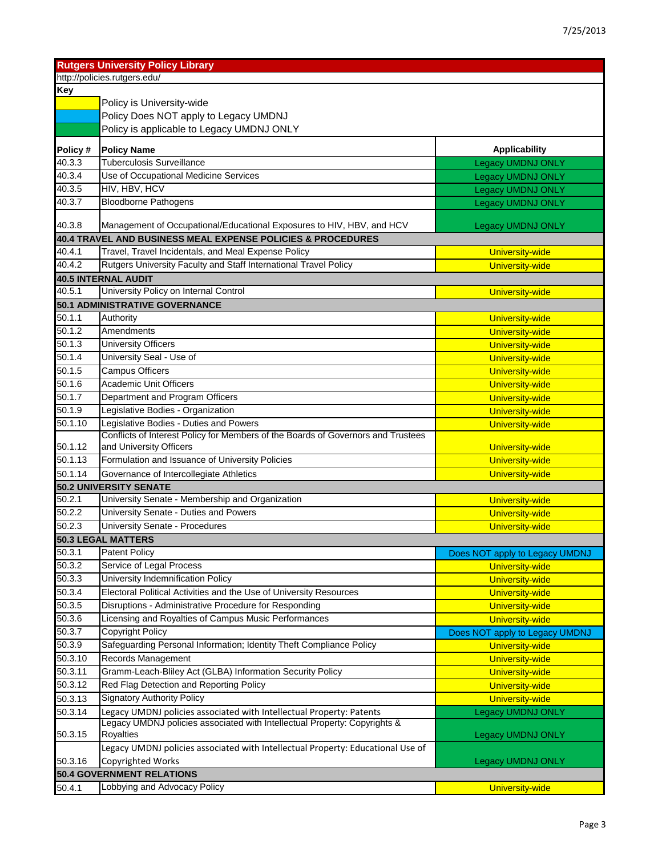|                     | <b>Rutgers University Policy Library</b>                                               |                                |
|---------------------|----------------------------------------------------------------------------------------|--------------------------------|
|                     | http://policies.rutgers.edu/                                                           |                                |
| <b>Key</b>          |                                                                                        |                                |
|                     | Policy is University-wide                                                              |                                |
|                     | Policy Does NOT apply to Legacy UMDNJ                                                  |                                |
|                     | Policy is applicable to Legacy UMDNJ ONLY                                              |                                |
| Policy #            | <b>Policy Name</b>                                                                     | <b>Applicability</b>           |
| $40.\overline{3.3}$ | <b>Tuberculosis Surveillance</b>                                                       | Legacy UMDNJ ONLY              |
| 40.3.4              | Use of Occupational Medicine Services                                                  | <b>Legacy UMDNJ ONLY</b>       |
| 40.3.5              | HIV, HBV, HCV                                                                          | <b>Legacy UMDNJ ONLY</b>       |
| 40.3.7              | <b>Bloodborne Pathogens</b>                                                            | <b>Legacy UMDNJ ONLY</b>       |
| 40.3.8              | Management of Occupational/Educational Exposures to HIV, HBV, and HCV                  | <b>Legacy UMDNJ ONLY</b>       |
|                     | 40.4 TRAVEL AND BUSINESS MEAL EXPENSE POLICIES & PROCEDURES                            |                                |
| 40.4.1              | Travel, Travel Incidentals, and Meal Expense Policy                                    | <b>University-wide</b>         |
| 40.4.2              | Rutgers University Faculty and Staff International Travel Policy                       | <b>University-wide</b>         |
|                     | <b>40.5 INTERNAL AUDIT</b>                                                             |                                |
| 40.5.1              | University Policy on Internal Control                                                  | <b>University-wide</b>         |
|                     | 50.1 ADMINISTRATIVE GOVERNANCE                                                         |                                |
| 50.1.1              | Authority                                                                              | <b>University-wide</b>         |
| 50.1.2              | Amendments                                                                             | <b>University-wide</b>         |
| 50.1.3              | <b>University Officers</b>                                                             | <b>University-wide</b>         |
| 50.1.4              | University Seal - Use of                                                               | <b>University-wide</b>         |
| 50.1.5              | <b>Campus Officers</b>                                                                 | <b>University-wide</b>         |
| 50.1.6              | <b>Academic Unit Officers</b>                                                          | <b>University-wide</b>         |
| 50.1.7              | Department and Program Officers                                                        | <b>University-wide</b>         |
| 50.1.9              | Legislative Bodies - Organization                                                      | <b>University-wide</b>         |
| 50.1.10             | Legislative Bodies - Duties and Powers                                                 | <b>University-wide</b>         |
|                     | Conflicts of Interest Policy for Members of the Boards of Governors and Trustees       |                                |
| 50.1.12             | and University Officers                                                                | <b>University-wide</b>         |
| 50.1.13             | Formulation and Issuance of University Policies                                        | <b>University-wide</b>         |
| 50.1.14             | Governance of Intercollegiate Athletics                                                | <b>University-wide</b>         |
|                     | 50.2 UNIVERSITY SENATE                                                                 |                                |
| 50.2.1              | University Senate - Membership and Organization                                        | <b>University-wide</b>         |
| 50.2.2              | University Senate - Duties and Powers                                                  | <b>University-wide</b>         |
| 50.2.3              | University Senate - Procedures                                                         | <b>University-wide</b>         |
|                     | <b>50.3 LEGAL MATTERS</b>                                                              |                                |
| 50.3.1              | <b>Patent Policy</b>                                                                   | Does NOT apply to Legacy UMDNJ |
| 50.3.2              | Service of Legal Process                                                               | <b>University-wide</b>         |
| 50.3.3              | University Indemnification Policy                                                      | <b>University-wide</b>         |
| 50.3.4              | Electoral Political Activities and the Use of University Resources                     | <b>University-wide</b>         |
| 50.3.5              | Disruptions - Administrative Procedure for Responding                                  | <b>University-wide</b>         |
| 50.3.6              | Licensing and Royalties of Campus Music Performances                                   | <b>University-wide</b>         |
| 50.3.7              | <b>Copyright Policy</b>                                                                | Does NOT apply to Legacy UMDNJ |
| 50.3.9              | Safeguarding Personal Information; Identity Theft Compliance Policy                    | <b>University-wide</b>         |
| 50.3.10             | Records Management                                                                     | <b>University-wide</b>         |
| 50.3.11             | Gramm-Leach-Bliley Act (GLBA) Information Security Policy                              | <b>University-wide</b>         |
| 50.3.12             | Red Flag Detection and Reporting Policy                                                | <b>University-wide</b>         |
| 50.3.13             | <b>Signatory Authority Policy</b>                                                      | <b>University-wide</b>         |
| 50.3.14             | Legacy UMDNJ policies associated with Intellectual Property: Patents                   | <b>Legacy UMDNJ ONLY</b>       |
| 50.3.15             | Legacy UMDNJ policies associated with Intellectual Property: Copyrights &<br>Royalties | <b>Legacy UMDNJ ONLY</b>       |
|                     | Legacy UMDNJ policies associated with Intellectual Property: Educational Use of        |                                |
| 50.3.16             | <b>Copyrighted Works</b>                                                               | <b>Legacy UMDNJ ONLY</b>       |
|                     | <b>50.4 GOVERNMENT RELATIONS</b>                                                       |                                |
| 50.4.1              | Lobbying and Advocacy Policy                                                           | <b>University-wide</b>         |
|                     |                                                                                        |                                |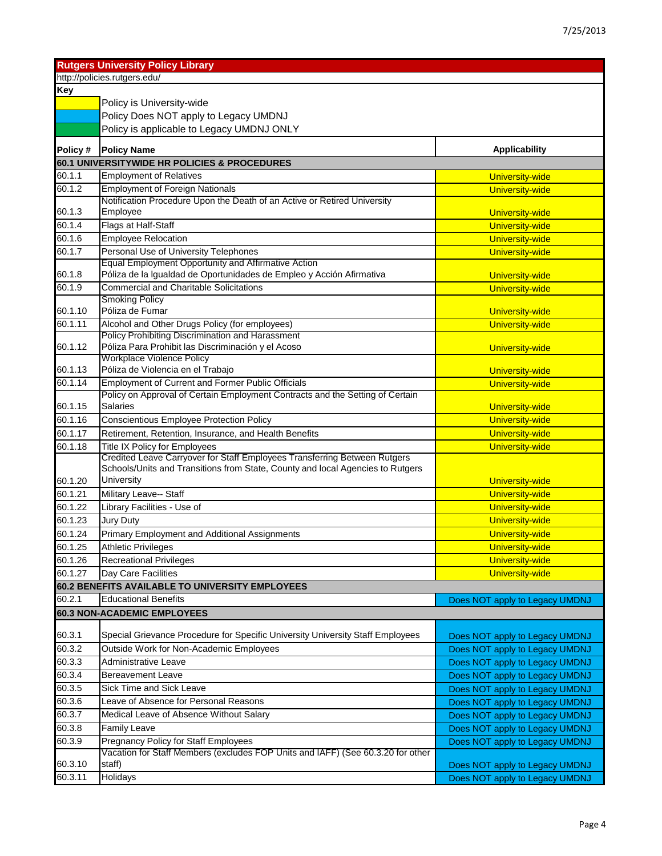|          | <b>Rutgers University Policy Library</b>                                                                   |                                |
|----------|------------------------------------------------------------------------------------------------------------|--------------------------------|
|          | http://policies.rutgers.edu/                                                                               |                                |
| Key      |                                                                                                            |                                |
|          | Policy is University-wide                                                                                  |                                |
|          | Policy Does NOT apply to Legacy UMDNJ                                                                      |                                |
|          | Policy is applicable to Legacy UMDNJ ONLY                                                                  |                                |
|          |                                                                                                            |                                |
| Policy # | <b>Policy Name</b>                                                                                         | <b>Applicability</b>           |
|          | 60.1 UNIVERSITYWIDE HR POLICIES & PROCEDURES                                                               |                                |
| 60.1.1   | <b>Employment of Relatives</b>                                                                             | <b>University-wide</b>         |
| 60.1.2   | <b>Employment of Foreign Nationals</b>                                                                     | <b>University-wide</b>         |
|          | Notification Procedure Upon the Death of an Active or Retired University                                   |                                |
| 60.1.3   | Employee                                                                                                   | <b>University-wide</b>         |
| 60.1.4   | Flags at Half-Staff                                                                                        | <b>University-wide</b>         |
| 60.1.6   | <b>Employee Relocation</b>                                                                                 | <b>University-wide</b>         |
| 60.1.7   | Personal Use of University Telephones<br>Equal Employment Opportunity and Affirmative Action               | <b>University-wide</b>         |
| 60.1.8   | Póliza de la Igualdad de Oportunidades de Empleo y Acción Afirmativa                                       | <b>University-wide</b>         |
| 60.1.9   | <b>Commercial and Charitable Solicitations</b>                                                             | <b>University-wide</b>         |
|          | <b>Smoking Policy</b>                                                                                      |                                |
| 60.1.10  | Póliza de Fumar                                                                                            | <b>University-wide</b>         |
| 60.1.11  | Alcohol and Other Drugs Policy (for employees)                                                             | <b>University-wide</b>         |
|          | <b>Policy Prohibiting Discrimination and Harassment</b>                                                    |                                |
| 60.1.12  | Póliza Para Prohibit las Discriminación y el Acoso                                                         | <b>University-wide</b>         |
|          | <b>Workplace Violence Policy</b>                                                                           |                                |
| 60.1.13  | Póliza de Violencia en el Trabajo                                                                          | <b>University-wide</b>         |
| 60.1.14  | <b>Employment of Current and Former Public Officials</b>                                                   | <b>University-wide</b>         |
|          | Policy on Approval of Certain Employment Contracts and the Setting of Certain                              |                                |
| 60.1.15  | <b>Salaries</b>                                                                                            | <b>University-wide</b>         |
| 60.1.16  | <b>Conscientious Employee Protection Policy</b>                                                            | <b>University-wide</b>         |
| 60.1.17  | Retirement, Retention, Insurance, and Health Benefits                                                      | <b>University-wide</b>         |
| 60.1.18  | Title IX Policy for Employees<br>Credited Leave Carryover for Staff Employees Transferring Between Rutgers | <b>University-wide</b>         |
|          | Schools/Units and Transitions from State, County and local Agencies to Rutgers                             |                                |
| 60.1.20  | University                                                                                                 | <b>University-wide</b>         |
| 60.1.21  | Military Leave-- Staff                                                                                     | <b>University-wide</b>         |
| 60.1.22  | Library Facilities - Use of                                                                                | <b>University-wide</b>         |
| 60.1.23  | Jury Duty                                                                                                  | <b>University-wide</b>         |
| 60.1.24  | Primary Employment and Additional Assignments                                                              | <b>University-wide</b>         |
| 60.1.25  | <b>Athletic Privileges</b>                                                                                 | <b>University-wide</b>         |
| 60.1.26  | <b>Recreational Privileges</b>                                                                             | <b>University-wide</b>         |
| 60.1.27  | Day Care Facilities                                                                                        | <b>University-wide</b>         |
|          | 60.2 BENEFITS AVAILABLE TO UNIVERSITY EMPLOYEES                                                            |                                |
| 60.2.1   | <b>Educational Benefits</b>                                                                                | Does NOT apply to Legacy UMDNJ |
|          | <b>60.3 NON-ACADEMIC EMPLOYEES</b>                                                                         |                                |
|          |                                                                                                            |                                |
| 60.3.1   | Special Grievance Procedure for Specific University University Staff Employees                             | Does NOT apply to Legacy UMDNJ |
| 60.3.2   | Outside Work for Non-Academic Employees                                                                    | Does NOT apply to Legacy UMDNJ |
| 60.3.3   | <b>Administrative Leave</b>                                                                                | Does NOT apply to Legacy UMDNJ |
| 60.3.4   | Bereavement Leave                                                                                          | Does NOT apply to Legacy UMDNJ |
| 60.3.5   | Sick Time and Sick Leave                                                                                   | Does NOT apply to Legacy UMDNJ |
| 60.3.6   | Leave of Absence for Personal Reasons                                                                      | Does NOT apply to Legacy UMDNJ |
| 60.3.7   | Medical Leave of Absence Without Salary                                                                    | Does NOT apply to Legacy UMDNJ |
| 60.3.8   | <b>Family Leave</b>                                                                                        | Does NOT apply to Legacy UMDNJ |
| 60.3.9   | <b>Pregnancy Policy for Staff Employees</b>                                                                | Does NOT apply to Legacy UMDNJ |
|          | Vacation for Staff Members (excludes FOP Units and IAFF) (See 60.3.20 for other                            |                                |
| 60.3.10  | staff)                                                                                                     | Does NOT apply to Legacy UMDNJ |
| 60.3.11  | Holidays                                                                                                   | Does NOT apply to Legacy UMDNJ |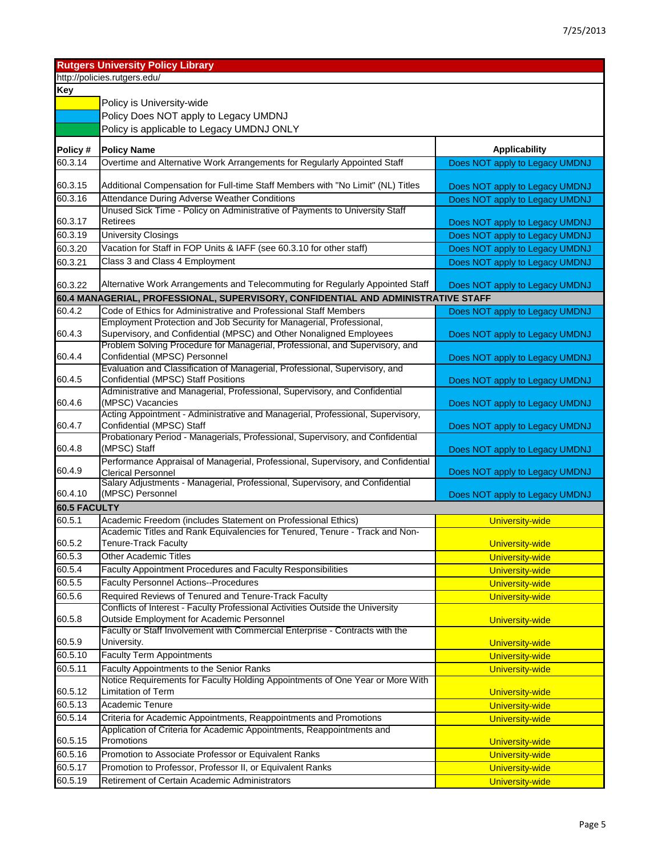| <b>Rutgers University Policy Library</b> |                                                                                                                                                     |                                                                  |
|------------------------------------------|-----------------------------------------------------------------------------------------------------------------------------------------------------|------------------------------------------------------------------|
|                                          | http://policies.rutgers.edu/                                                                                                                        |                                                                  |
| Key                                      |                                                                                                                                                     |                                                                  |
|                                          | Policy is University-wide                                                                                                                           |                                                                  |
|                                          | Policy Does NOT apply to Legacy UMDNJ                                                                                                               |                                                                  |
|                                          | Policy is applicable to Legacy UMDNJ ONLY                                                                                                           |                                                                  |
| Policy #                                 | <b>Policy Name</b>                                                                                                                                  | <b>Applicability</b>                                             |
| 60.3.14                                  | Overtime and Alternative Work Arrangements for Regularly Appointed Staff                                                                            | Does NOT apply to Legacy UMDNJ                                   |
|                                          |                                                                                                                                                     |                                                                  |
| 60.3.15                                  | Additional Compensation for Full-time Staff Members with "No Limit" (NL) Titles                                                                     | Does NOT apply to Legacy UMDNJ                                   |
| 60.3.16                                  | Attendance During Adverse Weather Conditions                                                                                                        | Does NOT apply to Legacy UMDNJ                                   |
| 60.3.17                                  | Unused Sick Time - Policy on Administrative of Payments to University Staff<br>Retirees                                                             |                                                                  |
| 60.3.19                                  | <b>University Closings</b>                                                                                                                          | Does NOT apply to Legacy UMDNJ<br>Does NOT apply to Legacy UMDNJ |
| 60.3.20                                  | Vacation for Staff in FOP Units & IAFF (see 60.3.10 for other staff)                                                                                | Does NOT apply to Legacy UMDNJ                                   |
| 60.3.21                                  | Class 3 and Class 4 Employment                                                                                                                      | Does NOT apply to Legacy UMDNJ                                   |
|                                          |                                                                                                                                                     |                                                                  |
| 60.3.22                                  | Alternative Work Arrangements and Telecommuting for Regularly Appointed Staff                                                                       | Does NOT apply to Legacy UMDNJ                                   |
|                                          | 60.4 MANAGERIAL, PROFESSIONAL, SUPERVISORY, CONFIDENTIAL AND ADMINISTRATIVE STAFF                                                                   |                                                                  |
| 60.4.2                                   | Code of Ethics for Administrative and Professional Staff Members                                                                                    | Does NOT apply to Legacy UMDNJ                                   |
|                                          | Employment Protection and Job Security for Managerial, Professional,                                                                                |                                                                  |
| 60.4.3                                   | Supervisory, and Confidential (MPSC) and Other Nonaligned Employees<br>Problem Solving Procedure for Managerial, Professional, and Supervisory, and | Does NOT apply to Legacy UMDNJ                                   |
| 60.4.4                                   | Confidential (MPSC) Personnel                                                                                                                       | Does NOT apply to Legacy UMDNJ                                   |
|                                          | Evaluation and Classification of Managerial, Professional, Supervisory, and                                                                         |                                                                  |
| 60.4.5                                   | Confidential (MPSC) Staff Positions                                                                                                                 | Does NOT apply to Legacy UMDNJ                                   |
| 60.4.6                                   | Administrative and Managerial, Professional, Supervisory, and Confidential<br>(MPSC) Vacancies                                                      | Does NOT apply to Legacy UMDNJ                                   |
|                                          | Acting Appointment - Administrative and Managerial, Professional, Supervisory,                                                                      |                                                                  |
| 60.4.7                                   | Confidential (MPSC) Staff                                                                                                                           | Does NOT apply to Legacy UMDNJ                                   |
| 60.4.8                                   | Probationary Period - Managerials, Professional, Supervisory, and Confidential<br>(MPSC) Staff                                                      | Does NOT apply to Legacy UMDNJ                                   |
| 60.4.9                                   | Performance Appraisal of Managerial, Professional, Supervisory, and Confidential<br><b>Clerical Personnel</b>                                       | Does NOT apply to Legacy UMDNJ                                   |
|                                          | Salary Adjustments - Managerial, Professional, Supervisory, and Confidential                                                                        |                                                                  |
| 60.4.10                                  | (MPSC) Personnel                                                                                                                                    | Does NOT apply to Legacy UMDNJ                                   |
| 60.5 FACULTY                             |                                                                                                                                                     |                                                                  |
| 60.5.1                                   | Academic Freedom (includes Statement on Professional Ethics)<br>Academic Titles and Rank Equivalencies for Tenured, Tenure - Track and Non-         | <b>University-wide</b>                                           |
| 60.5.2                                   | Tenure-Track Faculty                                                                                                                                | <b>University-wide</b>                                           |
| 60.5.3                                   | <b>Other Academic Titles</b>                                                                                                                        | <b>University-wide</b>                                           |
| 60.5.4                                   | Faculty Appointment Procedures and Faculty Responsibilities                                                                                         | <b>University-wide</b>                                           |
| 60.5.5                                   | <b>Faculty Personnel Actions--Procedures</b>                                                                                                        | <b>University-wide</b>                                           |
| 60.5.6                                   | Required Reviews of Tenured and Tenure-Track Faculty                                                                                                | <b>University-wide</b>                                           |
|                                          | Conflicts of Interest - Faculty Professional Activities Outside the University                                                                      |                                                                  |
| 60.5.8                                   | Outside Employment for Academic Personnel                                                                                                           | <b>University-wide</b>                                           |
| 60.5.9                                   | Faculty or Staff Involvement with Commercial Enterprise - Contracts with the<br>University.                                                         | <b>University-wide</b>                                           |
| 60.5.10                                  | <b>Faculty Term Appointments</b>                                                                                                                    | <b>University-wide</b>                                           |
| 60.5.11                                  | Faculty Appointments to the Senior Ranks                                                                                                            | <b>University-wide</b>                                           |
|                                          | Notice Requirements for Faculty Holding Appointments of One Year or More With                                                                       |                                                                  |
| 60.5.12                                  | Limitation of Term                                                                                                                                  | <b>University-wide</b>                                           |
| 60.5.13                                  | Academic Tenure                                                                                                                                     | <b>University-wide</b>                                           |
| 60.5.14                                  | Criteria for Academic Appointments, Reappointments and Promotions                                                                                   | <b>University-wide</b>                                           |
|                                          | Application of Criteria for Academic Appointments, Reappointments and                                                                               |                                                                  |
| 60.5.15                                  | Promotions                                                                                                                                          | <b>University-wide</b>                                           |
| 60.5.16                                  | Promotion to Associate Professor or Equivalent Ranks                                                                                                | <b>University-wide</b>                                           |
| 60.5.17                                  | Promotion to Professor, Professor II, or Equivalent Ranks                                                                                           | <b>University-wide</b>                                           |
| 60.5.19                                  | Retirement of Certain Academic Administrators                                                                                                       | <b>University-wide</b>                                           |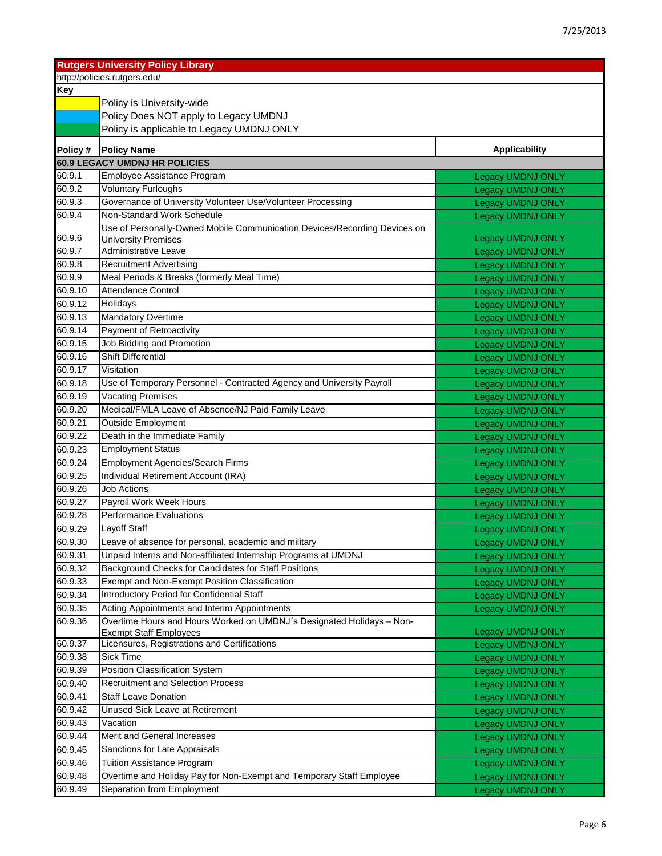|          | <b>Rutgers University Policy Library</b>                                                                |                          |
|----------|---------------------------------------------------------------------------------------------------------|--------------------------|
|          | http://policies.rutgers.edu/                                                                            |                          |
| Key      |                                                                                                         |                          |
|          | Policy is University-wide                                                                               |                          |
|          | Policy Does NOT apply to Legacy UMDNJ                                                                   |                          |
|          | Policy is applicable to Legacy UMDNJ ONLY                                                               |                          |
| Policy # | <b>Policy Name</b>                                                                                      | <b>Applicability</b>     |
|          | <b>60.9 LEGACY UMDNJ HR POLICIES</b>                                                                    |                          |
| 60.9.1   | Employee Assistance Program                                                                             | <b>Legacy UMDNJ ONLY</b> |
| 60.9.2   | <b>Voluntary Furloughs</b>                                                                              | <b>Legacy UMDNJ ONLY</b> |
| 60.9.3   | Governance of University Volunteer Use/Volunteer Processing                                             | <b>Legacy UMDNJ ONLY</b> |
| 60.9.4   | Non-Standard Work Schedule                                                                              | <b>Legacy UMDNJ ONLY</b> |
| 60.9.6   | Use of Personally-Owned Mobile Communication Devices/Recording Devices on<br><b>University Premises</b> | <b>Legacy UMDNJ ONLY</b> |
| 60.9.7   | <b>Administrative Leave</b>                                                                             | <b>Legacy UMDNJ ONLY</b> |
| 60.9.8   | <b>Recruitment Advertising</b>                                                                          | <b>Legacy UMDNJ ONLY</b> |
| 60.9.9   | Meal Periods & Breaks (formerly Meal Time)                                                              | <b>Legacy UMDNJ ONLY</b> |
| 60.9.10  | <b>Attendance Control</b>                                                                               | <b>Legacy UMDNJ ONLY</b> |
| 60.9.12  | Holidays                                                                                                | <b>Legacy UMDNJ ONLY</b> |
| 60.9.13  | Mandatory Overtime                                                                                      | <b>Legacy UMDNJ ONLY</b> |
| 60.9.14  | Payment of Retroactivity                                                                                | <b>Legacy UMDNJ ONLY</b> |
| 60.9.15  | Job Bidding and Promotion                                                                               | <b>Legacy UMDNJ ONLY</b> |
| 60.9.16  | <b>Shift Differential</b>                                                                               | <b>Legacy UMDNJ ONLY</b> |
| 60.9.17  | Visitation                                                                                              | <b>Legacy UMDNJ ONLY</b> |
| 60.9.18  | Use of Temporary Personnel - Contracted Agency and University Payroll                                   | <b>Legacy UMDNJ ONLY</b> |
| 60.9.19  | <b>Vacating Premises</b>                                                                                | <b>Legacy UMDNJ ONLY</b> |
| 60.9.20  | Medical/FMLA Leave of Absence/NJ Paid Family Leave                                                      | <b>Legacy UMDNJ ONLY</b> |
| 60.9.21  | <b>Outside Employment</b>                                                                               | <b>Legacy UMDNJ ONLY</b> |
| 60.9.22  | Death in the Immediate Family                                                                           | <b>Legacy UMDNJ ONLY</b> |
| 60.9.23  | <b>Employment Status</b>                                                                                | Legacy UMDNJ ONLY        |
| 60.9.24  | <b>Employment Agencies/Search Firms</b>                                                                 | <b>Legacy UMDNJ ONLY</b> |
| 60.9.25  | Individual Retirement Account (IRA)                                                                     | <b>Legacy UMDNJ ONLY</b> |
| 60.9.26  | Job Actions                                                                                             | <b>Legacy UMDNJ ONLY</b> |
| 60.9.27  | Payroll Work Week Hours                                                                                 | <b>Legacy UMDNJ ONLY</b> |
| 60.9.28  | <b>Performance Evaluations</b>                                                                          | <b>Legacy UMDNJ ONLY</b> |
| 60.9.29  | Layoff Staff                                                                                            | <b>Legacy UMDNJ ONLY</b> |
| 60.9.30  | Leave of absence for personal, academic and military                                                    | <b>Legacy UMDNJ ONLY</b> |
| 60.9.31  | Unpaid Interns and Non-affiliated Internship Programs at UMDNJ                                          | <b>Legacy UMDNJ ONLY</b> |
| 60.9.32  | Background Checks for Candidates for Staff Positions                                                    | <b>Legacy UMDNJ ONLY</b> |
| 60.9.33  | Exempt and Non-Exempt Position Classification                                                           | <b>Legacy UMDNJ ONLY</b> |
| 60.9.34  | Introductory Period for Confidential Staff                                                              | <b>Legacy UMDNJ ONLY</b> |
| 60.9.35  | Acting Appointments and Interim Appointments                                                            | <b>Legacy UMDNJ ONLY</b> |
| 60.9.36  | Overtime Hours and Hours Worked on UMDNJ's Designated Holidays - Non-<br><b>Exempt Staff Employees</b>  | <b>Legacy UMDNJ ONLY</b> |
| 60.9.37  | Licensures, Registrations and Certifications                                                            | <b>Legacy UMDNJ ONLY</b> |
| 60.9.38  | Sick Time                                                                                               | <b>Legacy UMDNJ ONLY</b> |
| 60.9.39  | Position Classification System                                                                          | <b>Legacy UMDNJ ONLY</b> |
| 60.9.40  | <b>Recruitment and Selection Process</b>                                                                | <b>Legacy UMDNJ ONLY</b> |
| 60.9.41  | Staff Leave Donation                                                                                    | <b>Legacy UMDNJ ONLY</b> |
| 60.9.42  | <b>Unused Sick Leave at Retirement</b>                                                                  | <b>Legacy UMDNJ ONLY</b> |
| 60.9.43  | Vacation                                                                                                | <b>Legacy UMDNJ ONLY</b> |
| 60.9.44  | Merit and General Increases                                                                             | <b>Legacy UMDNJ ONLY</b> |
| 60.9.45  | Sanctions for Late Appraisals                                                                           | <b>Legacy UMDNJ ONLY</b> |
| 60.9.46  | <b>Tuition Assistance Program</b>                                                                       | <b>Legacy UMDNJ ONLY</b> |
| 60.9.48  | Overtime and Holiday Pay for Non-Exempt and Temporary Staff Employee                                    | <b>Legacy UMDNJ ONLY</b> |
| 60.9.49  | Separation from Employment                                                                              | <b>Legacy UMDNJ ONLY</b> |
|          |                                                                                                         |                          |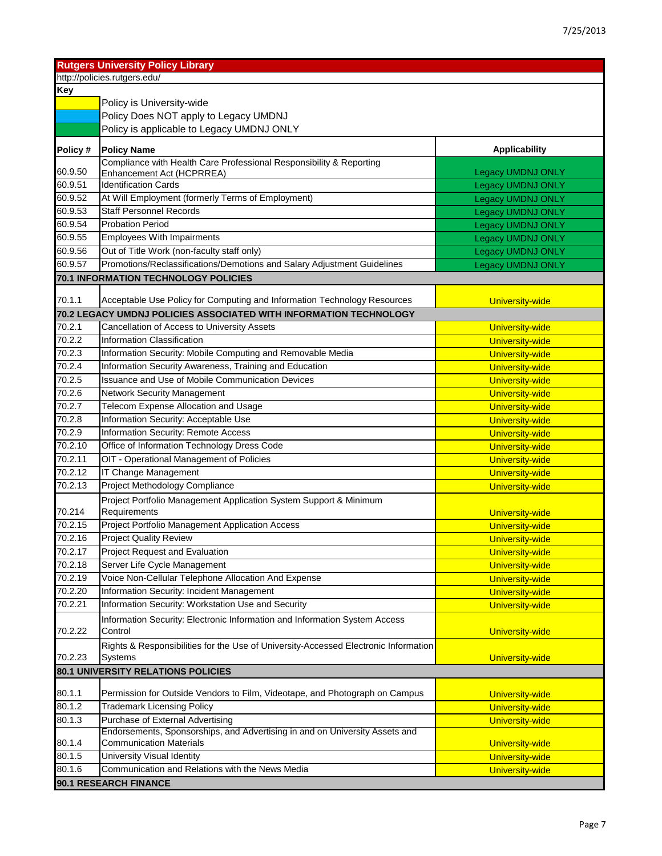|          | <b>Rutgers University Policy Library</b>                                              |                          |
|----------|---------------------------------------------------------------------------------------|--------------------------|
|          | http://policies.rutgers.edu/                                                          |                          |
| Key      |                                                                                       |                          |
|          | Policy is University-wide                                                             |                          |
|          | Policy Does NOT apply to Legacy UMDNJ                                                 |                          |
|          | Policy is applicable to Legacy UMDNJ ONLY                                             |                          |
| Policy # | <b>Policy Name</b>                                                                    | <b>Applicability</b>     |
|          | Compliance with Health Care Professional Responsibility & Reporting                   |                          |
| 60.9.50  | Enhancement Act (HCPRREA)                                                             | <b>Legacy UMDNJ ONLY</b> |
| 60.9.51  | <b>Identification Cards</b>                                                           | <b>Legacy UMDNJ ONLY</b> |
| 60.9.52  | At Will Employment (formerly Terms of Employment)                                     | <b>Legacy UMDNJ ONLY</b> |
| 60.9.53  | <b>Staff Personnel Records</b>                                                        | <b>Legacy UMDNJ ONLY</b> |
| 60.9.54  | <b>Probation Period</b>                                                               | <b>Legacy UMDNJ ONLY</b> |
| 60.9.55  | <b>Employees With Impairments</b>                                                     | <b>Legacy UMDNJ ONLY</b> |
| 60.9.56  | Out of Title Work (non-faculty staff only)                                            | <b>Legacy UMDNJ ONLY</b> |
| 60.9.57  | Promotions/Reclassifications/Demotions and Salary Adjustment Guidelines               | <b>Legacy UMDNJ ONLY</b> |
|          | <b>70.1 INFORMATION TECHNOLOGY POLICIES</b>                                           |                          |
| 70.1.1   | Acceptable Use Policy for Computing and Information Technology Resources              | <b>University-wide</b>   |
|          | 70.2 LEGACY UMDNJ POLICIES ASSOCIATED WITH INFORMATION TECHNOLOGY                     |                          |
| 70.2.1   | Cancellation of Access to University Assets                                           | <b>University-wide</b>   |
| 70.2.2   | Information Classification                                                            | <b>University-wide</b>   |
| 70.2.3   | Information Security: Mobile Computing and Removable Media                            | <b>University-wide</b>   |
| 70.2.4   | Information Security Awareness, Training and Education                                | <b>University-wide</b>   |
| 70.2.5   | <b>Issuance and Use of Mobile Communication Devices</b>                               | <b>University-wide</b>   |
| 70.2.6   | <b>Network Security Management</b>                                                    | <b>University-wide</b>   |
| 70.2.7   | Telecom Expense Allocation and Usage                                                  | <b>University-wide</b>   |
| 70.2.8   | Information Security: Acceptable Use                                                  | <b>University-wide</b>   |
| 70.2.9   | <b>Information Security: Remote Access</b>                                            | <b>University-wide</b>   |
| 70.2.10  | Office of Information Technology Dress Code                                           | <b>University-wide</b>   |
| 70.2.11  | OIT - Operational Management of Policies                                              | <b>University-wide</b>   |
| 70.2.12  | IT Change Management                                                                  | <b>University-wide</b>   |
| 70.2.13  | Project Methodology Compliance                                                        | <b>University-wide</b>   |
|          | Project Portfolio Management Application System Support & Minimum                     |                          |
| 70.214   | Requirements                                                                          | <b>University-wide</b>   |
| 70.2.15  | Project Portfolio Management Application Access                                       | <b>University-wide</b>   |
| 70.2.16  | <b>Project Quality Review</b>                                                         | University-wide          |
| 70.2.17  | Project Request and Evaluation                                                        | <b>University-wide</b>   |
| 70.2.18  | Server Life Cycle Management                                                          | <b>University-wide</b>   |
| 70.2.19  | Voice Non-Cellular Telephone Allocation And Expense                                   | <b>University-wide</b>   |
| 70.2.20  | Information Security: Incident Management                                             | <b>University-wide</b>   |
| 70.2.21  | Information Security: Workstation Use and Security                                    | <b>University-wide</b>   |
| 70.2.22  | Information Security: Electronic Information and Information System Access<br>Control | University-wide          |
|          | Rights & Responsibilities for the Use of University-Accessed Electronic Information   |                          |
| 70.2.23  | Systems                                                                               | University-wide          |
|          | 80.1 UNIVERSITY RELATIONS POLICIES                                                    |                          |
| 80.1.1   | Permission for Outside Vendors to Film, Videotape, and Photograph on Campus           | <b>University-wide</b>   |
| 80.1.2   | <b>Trademark Licensing Policy</b>                                                     | <b>University-wide</b>   |
| 80.1.3   | Purchase of External Advertising                                                      | <b>University-wide</b>   |
|          | Endorsements, Sponsorships, and Advertising in and on University Assets and           |                          |
| 80.1.4   | <b>Communication Materials</b>                                                        | <b>University-wide</b>   |
| 80.1.5   | University Visual Identity                                                            | <b>University-wide</b>   |
| 80.1.6   | Communication and Relations with the News Media                                       | <b>University-wide</b>   |
|          | 90.1 RESEARCH FINANCE                                                                 |                          |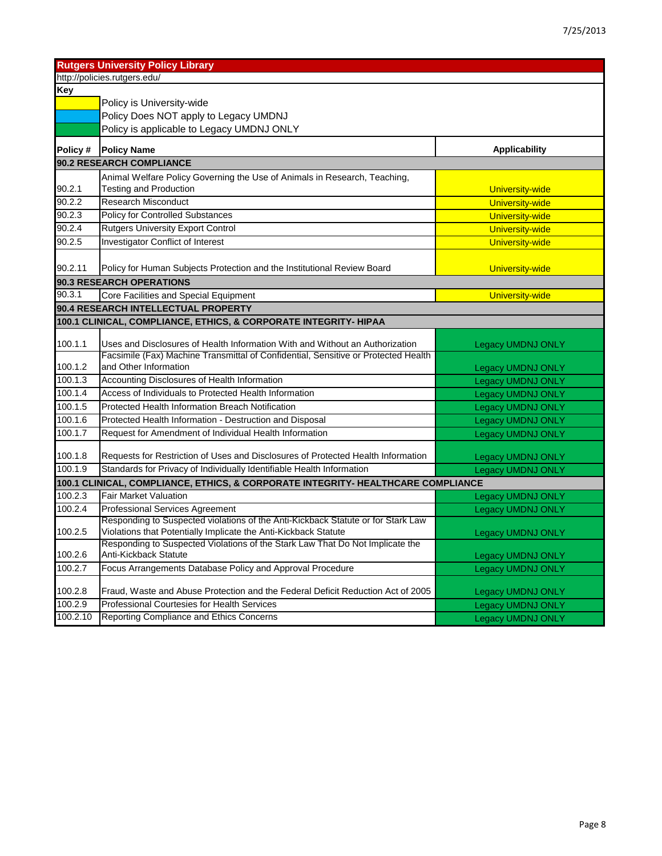|          | <b>Rutgers University Policy Library</b>                                                                    |                          |
|----------|-------------------------------------------------------------------------------------------------------------|--------------------------|
|          | http://policies.rutgers.edu/                                                                                |                          |
| Key      |                                                                                                             |                          |
|          | Policy is University-wide                                                                                   |                          |
|          | Policy Does NOT apply to Legacy UMDNJ                                                                       |                          |
|          | Policy is applicable to Legacy UMDNJ ONLY                                                                   |                          |
| Policy # | <b>Policy Name</b>                                                                                          | <b>Applicability</b>     |
|          | 90.2 RESEARCH COMPLIANCE                                                                                    |                          |
|          | Animal Welfare Policy Governing the Use of Animals in Research, Teaching,                                   |                          |
| 90.2.1   | <b>Testing and Production</b>                                                                               | <b>University-wide</b>   |
| 90.2.2   | <b>Research Misconduct</b>                                                                                  | <b>University-wide</b>   |
| 90.2.3   | <b>Policy for Controlled Substances</b>                                                                     | <b>University-wide</b>   |
| 90.2.4   | <b>Rutgers University Export Control</b>                                                                    | <b>University-wide</b>   |
| 90.2.5   | <b>Investigator Conflict of Interest</b>                                                                    | <b>University-wide</b>   |
| 90.2.11  | Policy for Human Subjects Protection and the Institutional Review Board                                     | <b>University-wide</b>   |
|          | 90.3 RESEARCH OPERATIONS                                                                                    |                          |
| 90.3.1   | Core Facilities and Special Equipment                                                                       | <b>University-wide</b>   |
|          | 90.4 RESEARCH INTELLECTUAL PROPERTY                                                                         |                          |
|          | 100.1 CLINICAL, COMPLIANCE, ETHICS, & CORPORATE INTEGRITY- HIPAA                                            |                          |
|          |                                                                                                             |                          |
| 100.1.1  | Uses and Disclosures of Health Information With and Without an Authorization                                | <b>Legacy UMDNJ ONLY</b> |
|          | Facsimile (Fax) Machine Transmittal of Confidential, Sensitive or Protected Health<br>and Other Information |                          |
| 100.1.2  |                                                                                                             | <b>Legacy UMDNJ ONLY</b> |
| 100.1.3  | Accounting Disclosures of Health Information                                                                | <b>Legacy UMDNJ ONLY</b> |
| 100.1.4  | Access of Individuals to Protected Health Information                                                       | <b>Legacy UMDNJ ONLY</b> |
| 100.1.5  | Protected Health Information Breach Notification                                                            | <b>Legacy UMDNJ ONLY</b> |
| 100.1.6  | Protected Health Information - Destruction and Disposal                                                     | <b>Legacy UMDNJ ONLY</b> |
| 100.1.7  | Request for Amendment of Individual Health Information                                                      | <b>Legacy UMDNJ ONLY</b> |
| 100.1.8  | Requests for Restriction of Uses and Disclosures of Protected Health Information                            | <b>Legacy UMDNJ ONLY</b> |
| 100.1.9  | Standards for Privacy of Individually Identifiable Health Information                                       | <b>Legacy UMDNJ ONLY</b> |
|          | 100.1 CLINICAL, COMPLIANCE, ETHICS, & CORPORATE INTEGRITY- HEALTHCARE COMPLIANCE                            |                          |
| 100.2.3  | <b>Fair Market Valuation</b>                                                                                | Legacy UMDNJ ONLY        |
| 100.2.4  | Professional Services Agreement                                                                             | <b>Legacy UMDNJ ONLY</b> |
|          | Responding to Suspected violations of the Anti-Kickback Statute or for Stark Law                            |                          |
| 100.2.5  | Violations that Potentially Implicate the Anti-Kickback Statute                                             | <b>Legacy UMDNJ ONLY</b> |
| 100.2.6  | Responding to Suspected Violations of the Stark Law That Do Not Implicate the<br>Anti-Kickback Statute      | <b>Legacy UMDNJ ONLY</b> |
| 100.2.7  | Focus Arrangements Database Policy and Approval Procedure                                                   | <b>Legacy UMDNJ ONLY</b> |
|          |                                                                                                             |                          |
| 100.2.8  | Fraud, Waste and Abuse Protection and the Federal Deficit Reduction Act of 2005                             | <b>Legacy UMDNJ ONLY</b> |
| 100.2.9  | Professional Courtesies for Health Services                                                                 | <b>Legacy UMDNJ ONLY</b> |
| 100.2.10 | Reporting Compliance and Ethics Concerns                                                                    | <b>Legacy UMDNJ ONLY</b> |